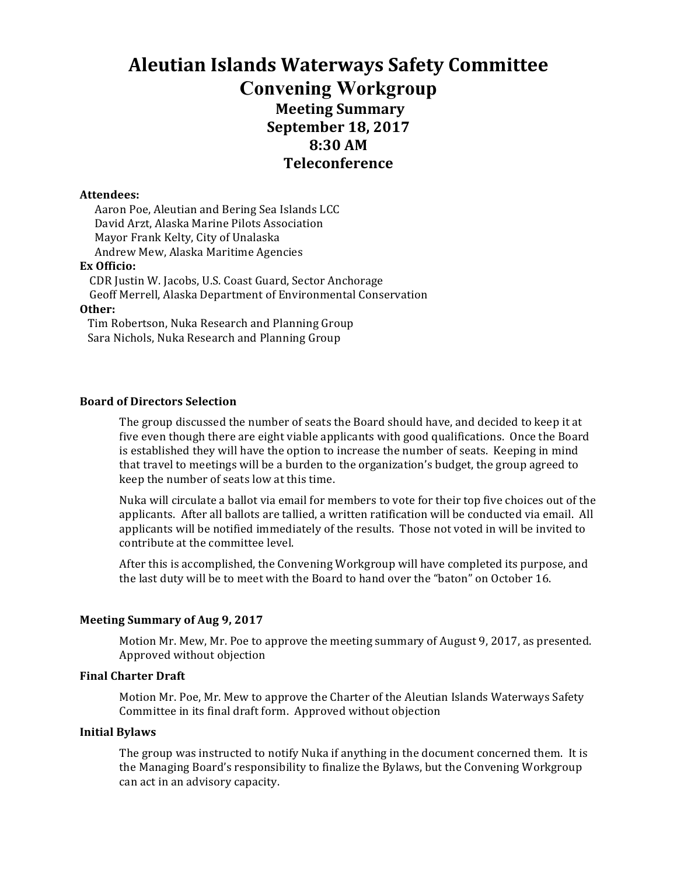# **Aleutian Islands Waterways Safety Committee Convening Workgroup Meeting Summary September 18, 2017 8:30 AM Teleconference**

#### **Attendees:**

Aaron Poe, Aleutian and Bering Sea Islands LCC David Arzt, Alaska Marine Pilots Association Mayor Frank Kelty, City of Unalaska Andrew Mew, Alaska Maritime Agencies **Ex Officio:**

CDR Justin W. Jacobs, U.S. Coast Guard, Sector Anchorage

Geoff Merrell, Alaska Department of Environmental Conservation

#### **Other:**

Tim Robertson, Nuka Research and Planning Group Sara Nichols, Nuka Research and Planning Group

## **Board of Directors Selection**

The group discussed the number of seats the Board should have, and decided to keep it at five even though there are eight viable applicants with good qualifications. Once the Board is established they will have the option to increase the number of seats. Keeping in mind that travel to meetings will be a burden to the organization's budget, the group agreed to keep the number of seats low at this time.

Nuka will circulate a ballot via email for members to vote for their top five choices out of the applicants. After all ballots are tallied, a written ratification will be conducted via email. All applicants will be notified immediately of the results. Those not voted in will be invited to contribute at the committee level.

After this is accomplished, the Convening Workgroup will have completed its purpose, and the last duty will be to meet with the Board to hand over the "baton" on October 16.

## **Meeting Summary of Aug 9, 2017**

Motion Mr. Mew, Mr. Poe to approve the meeting summary of August 9, 2017, as presented. Approved without objection

## **Final Charter Draft**

Motion Mr. Poe, Mr. Mew to approve the Charter of the Aleutian Islands Waterways Safety Committee in its final draft form. Approved without objection

#### **Initial Bylaws**

The group was instructed to notify Nuka if anything in the document concerned them. It is the Managing Board's responsibility to finalize the Bylaws, but the Convening Workgroup can act in an advisory capacity.